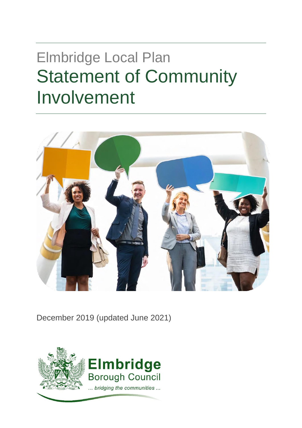# <span id="page-0-0"></span>Elmbridge Local Plan Statement of Community Involvement



December 2019 (updated June 2021)

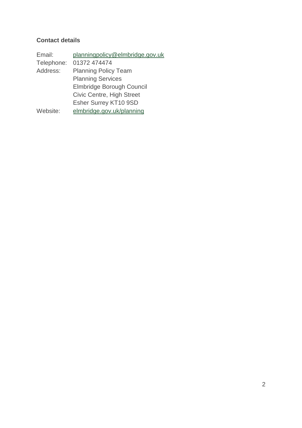### **Contact details**

| Email:     | planningpolicy@elmbridge.gov.uk |
|------------|---------------------------------|
| Telephone: | 01372 474474                    |
| Address:   | <b>Planning Policy Team</b>     |
|            | <b>Planning Services</b>        |
|            | Elmbridge Borough Council       |
|            | Civic Centre, High Street       |
|            | Esher Surrey KT10 9SD           |
| Website:   | elmbridge.gov.uk/planning       |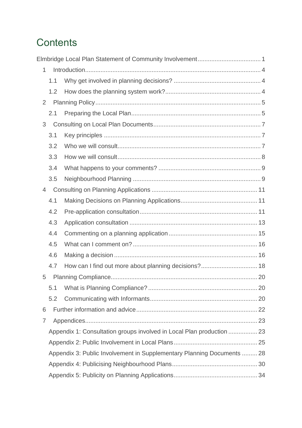## **Contents**

| $\mathbf{1}$   |     |                                                                        |  |
|----------------|-----|------------------------------------------------------------------------|--|
|                | 1.1 |                                                                        |  |
|                | 1.2 |                                                                        |  |
| $\overline{2}$ |     |                                                                        |  |
|                | 2.1 |                                                                        |  |
| 3              |     |                                                                        |  |
|                | 3.1 |                                                                        |  |
|                | 3.2 |                                                                        |  |
|                | 3.3 |                                                                        |  |
|                | 3.4 |                                                                        |  |
|                | 3.5 |                                                                        |  |
| $\overline{4}$ |     |                                                                        |  |
|                | 4.1 |                                                                        |  |
|                | 4.2 |                                                                        |  |
|                | 4.3 |                                                                        |  |
|                | 4.4 |                                                                        |  |
|                | 4.5 |                                                                        |  |
|                | 4.6 |                                                                        |  |
|                | 4.7 | How can I find out more about planning decisions? 18                   |  |
| 5              |     |                                                                        |  |
|                | 5.1 |                                                                        |  |
|                | 5.2 |                                                                        |  |
| 6              |     |                                                                        |  |
| 7              |     |                                                                        |  |
|                |     | Appendix 1: Consultation groups involved in Local Plan production  23  |  |
|                |     |                                                                        |  |
|                |     | Appendix 3: Public Involvement in Supplementary Planning Documents  28 |  |
|                |     |                                                                        |  |
|                |     |                                                                        |  |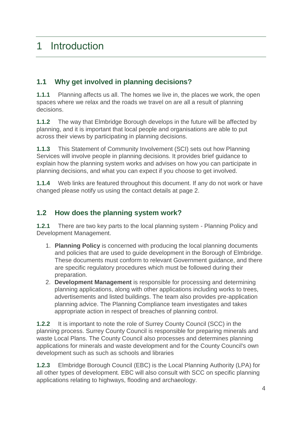## <span id="page-3-1"></span><span id="page-3-0"></span>**1.1 Why get involved in planning decisions?**

**1.1.1** Planning affects us all. The homes we live in, the places we work, the open spaces where we relax and the roads we travel on are all a result of planning decisions.

**1.1.2** The way that Elmbridge Borough develops in the future will be affected by planning, and it is important that local people and organisations are able to put across their views by participating in planning decisions.

**1.1.3** This Statement of Community Involvement (SCI) sets out how Planning Services will involve people in planning decisions. It provides brief guidance to explain how the planning system works and advises on how you can participate in planning decisions, and what you can expect if you choose to get involved.

**1.1.4** Web links are featured throughout this document. If any do not work or have changed please notify us using the contact details at page 2.

## <span id="page-3-2"></span>**1.2 How does the planning system work?**

**1.2.1** There are two key parts to the local planning system - Planning Policy and Development Management.

- 1. **Planning Policy** is concerned with producing the local planning documents and policies that are used to guide development in the Borough of Elmbridge. These documents must conform to relevant Government guidance, and there are specific regulatory procedures which must be followed during their preparation.
- 2. **Development Management** is responsible for processing and determining planning applications, along with other applications including works to trees, advertisements and listed buildings. The team also provides pre-application planning advice. The Planning Compliance team investigates and takes appropriate action in respect of breaches of planning control.

**1.2.2** It is important to note the role of Surrey County Council (SCC) in the planning process. Surrey County Council is responsible for preparing minerals and waste Local Plans. The County Council also processes and determines planning applications for minerals and waste development and for the County Council's own development such as such as schools and libraries

**1.2.3** Elmbridge Borough Council (EBC) is the Local Planning Authority (LPA) for all other types of development. EBC will also consult with SCC on specific planning applications relating to highways, flooding and archaeology.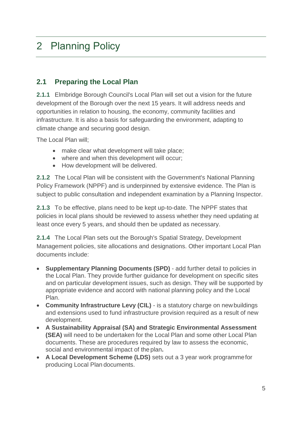## <span id="page-4-0"></span>2 Planning Policy

## <span id="page-4-1"></span>**2.1 Preparing the Local Plan**

**2.1.1** Elmbridge Borough Council's Local Plan will set out a vision for the future development of the Borough over the next 15 years. It will address needs and opportunities in relation to housing, the economy, community facilities and infrastructure. It is also a basis for safeguarding the environment, adapting to climate change and securing good design.

The Local Plan will;

- make clear what development will take place;
- where and when this development will occur;
- How development will be delivered.

**2.1.2** The Local Plan will be consistent with the Government's National Planning Policy Framework (NPPF) and is underpinned by extensive evidence. The Plan is subject to public consultation and independent examination by a Planning Inspector.

**2.1.3** To be effective, plans need to be kept up-to-date. The NPPF states that policies in local plans should be reviewed to assess whether they need updating at least once every 5 years, and should then be updated as necessary.

**2.1.4** The Local Plan sets out the Borough's Spatial Strategy, Development Management policies, site allocations and designations. Other important Local Plan documents include:

- **Supplementary Planning Documents (SPD)** add further detail to policies in the Local Plan. They provide further guidance for development on specific sites and on particular development issues, such as design. They will be supported by appropriate evidence and accord with national planning policy and the Local Plan.
- **Community Infrastructure Levy (CIL)**  is a statutory charge on newbuildings and extensions used to fund infrastructure provision required as a result of new development.
- **A Sustainability Appraisal (SA) and Strategic Environmental Assessment (SEA)** will need to be undertaken for the Local Plan and some other Local Plan documents. These are procedures required by law to assess the economic, social and environmental impact of the plan**.**
- **A Local Development Scheme (LDS)** sets out a 3 year work programmefor producing Local Plan documents.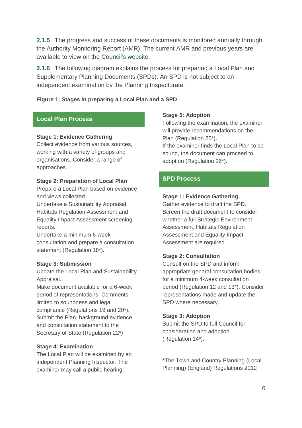**2.1.5** The progress and success of these documents is monitored annually through the Authority Monitoring Report (AMR). The current AMR and previous years are available to view on the [Council's website.](https://www.elmbridge.gov.uk/planning/local-plan/)

**2.1.6** The following diagram explains the process for preparing a Local Plan and Supplementary Planning Documents (SPDs). An SPD is not subject to an independent examination by the Planning Inspectorate.

#### **Figure 1: Stages in preparing a Local Plan and a SPD**

#### **Local Plan Process**

#### **Stage 1: Evidence Gathering**

Collect evidence from various sources, working with a variety of groups and organisations. Consider a range of approaches.

#### **Stage 2: Preparation of Local Plan**

Prepare a Local Plan based on evidence and views collected.

Undertake a Sustainability Appraisal, Habitats Regulation Assessment and Equality Impact Assessment screening reports.

Undertake a minimum 6-week consultation and prepare a consultation statement (Regulation 18\*).

#### **Stage 3: Submission**

Update the Local Plan and Sustainability Appraisal.

Make document available for a 6-week period of representations. Comments limited to soundness and legal compliance (Regulations 19 and 20\*). Submit the Plan, background evidence and consultation statement to the Secretary of State (Regulation 22\*)

#### **Stage 4: Examination**

The Local Plan will be examined by an independent Planning Inspector. The examiner may call a public hearing.

#### **Stage 5: Adoption**

Following the examination, the examiner will provide recommendations on the Plan (Regulation 25\*). If the examiner finds the Local Plan to be sound, the document can proceed to adoption (Regulation 26\*).

#### **SPD Process**

#### **Stage 1: Evidence Gathering**

Gather evidence to draft the SPD. Screen the draft document to consider whether a full Strategic Environment Assessment, Habitats Regulation Assessment and Equality Impact Assessment are required

#### **Stage 2: Consultation**

Consult on the SPD and inform appropriate general consultation bodies for a minimum 4-week consultation period (Regulation 12 and 13\*). Consider representations made and update the SPD where necessary.

#### **Stage 3: Adoption**

Submit the SPD to full Council for consideration and adoption (Regulation 14\*).

\*The Town and Country Planning (Local Planning) (England) Regulations 2012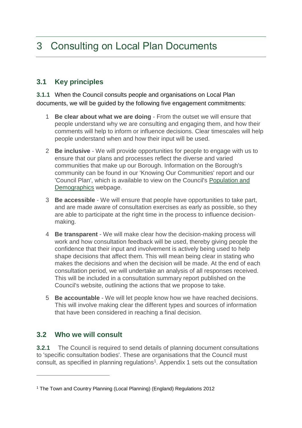## <span id="page-6-0"></span>3 Consulting on Local Plan Documents

## <span id="page-6-1"></span>**3.1 Key principles**

**3.1.1** When the Council consults people and organisations on Local Plan documents, we will be guided by the following five engagement commitments:

- 1 **Be clear about what we are doing** From the outset we will ensure that people understand why we are consulting and engaging them, and how their comments will help to inform or influence decisions. Clear timescales will help people understand when and how their input will be used.
- 2 **Be inclusive** We will provide opportunities for people to engage with us to ensure that our plans and processes reflect the diverse and varied communities that make up our Borough. Information on the Borough's community can be found in our 'Knowing Our Communities' report and our 'Council Plan', which is available to view on the Council's [Population and](https://www.elmbridge.gov.uk/council/population-and-demographics/)  [Demographics](https://www.elmbridge.gov.uk/council/population-and-demographics/) webpage.
- 3 **Be accessible** We will ensure that people have opportunities to take part, and are made aware of consultation exercises as early as possible, so they are able to participate at the right time in the process to influence decisionmaking.
- 4 **Be transparent** We will make clear how the decision-making process will work and how consultation feedback will be used, thereby giving people the confidence that their input and involvement is actively being used to help shape decisions that affect them. This will mean being clear in stating who makes the decisions and when the decision will be made. At the end of each consultation period, we will undertake an analysis of all responses received. This will be included in a consultation summary report published on the Council's website, outlining the actions that we propose to take.
- 5 **Be accountable** We will let people know how we have reached decisions. This will involve making clear the different types and sources of information that have been considered in reaching a final decision.

## <span id="page-6-2"></span>**3.2 Who we will consult**

 $\overline{a}$ 

**3.2.1** The Council is required to send details of planning document consultations to 'specific consultation bodies'. These are organisations that the Council must consult, as specified in planning regulations<sup>1</sup>. Appendix 1 sets out the consultation

<sup>1</sup> The Town and Country Planning (Local Planning) (England) Regulations 2012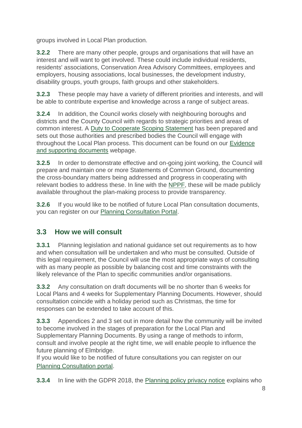groups involved in Local Plan production.

**3.2.2** There are many other people, groups and organisations that will have an interest and will want to get involved. These could include individual residents, residents' associations, Conservation Area Advisory Committees, employees and employers, housing associations, local businesses, the development industry, disability groups, youth groups, faith groups and other stakeholders.

**3.2.3** These people may have a variety of different priorities and interests, and will be able to contribute expertise and knowledge across a range of subject areas.

**3.2.4** In addition, the Council works closely with neighbouring boroughs and districts and the County Council with regards to strategic priorities and areas of common interest. A [Duty to Cooperate Scoping Statement](http://www.elmbridge.gov.uk/EasySiteWeb/GatewayLink.aspx?alId=2468) has been prepared and sets out those authorities and prescribed bodies the Council will engage with throughout the Local Plan process. This document can be found on our [Evidence](https://www.elmbridge.gov.uk/planning/local-plan/local-plan-supporting-evidence/)  [and supporting documents](https://www.elmbridge.gov.uk/planning/local-plan/local-plan-supporting-evidence/) webpage.

**3.2.5** In order to demonstrate effective and on-going joint working, the Council will prepare and maintain one or more Statements of Common Ground, documenting the cross-boundary matters being addressed and progress in cooperating with relevant bodies to address these. In line with the [NPPF,](https://assets.publishing.service.gov.uk/government/uploads/system/uploads/attachment_data/file/740441/National_Planning_Policy_Framework_web_accessible_version.pdf) these will be made publicly available throughout the plan-making process to provide transparency.

**3.2.6** If you would like to be notified of future Local Plan consultation documents, you can register on our [Planning Consultation Portal.](http://consult.elmbridge.gov.uk/consult.ti)

## <span id="page-7-0"></span>**3.3 How we will consult**

**3.3.1** Planning legislation and national guidance set out requirements as to how and when consultation will be undertaken and who must be consulted. Outside of this legal requirement, the Council will use the most appropriate ways of consulting with as many people as possible by balancing cost and time constraints with the likely relevance of the Plan to specific communities and/or organisations.

**3.3.2** Any consultation on draft documents will be no shorter than 6 weeks for Local Plans and 4 weeks for Supplementary Planning Documents. However, should consultation coincide with a holiday period such as Christmas, the time for responses can be extended to take account of this.

**3.3.3** Appendices 2 and 3 set out in more detail how the community will be invited to become involved in the stages of preparation for the Local Plan and Supplementary Planning Documents. By using a range of methods to inform, consult and involve people at the right time, we will enable people to influence the future planning of Elmbridge.

If you would like to be notified of future consultations you can register on our [Planning Consultation portal.](http://consult.elmbridge.gov.uk/consult.ti)

**3.3.4** In line with the GDPR 2018, the [Planning policy privacy notice](https://www.elmbridge.gov.uk/privacy-notices/planning-services/planning-policy/) explains who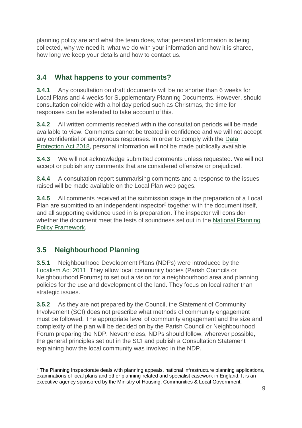planning policy are and what the team does, what personal information is being collected, why we need it, what we do with your information and how it is shared, how long we keep your details and how to contact us.

## <span id="page-8-0"></span>**3.4 What happens to your comments?**

**3.4.1** Any consultation on draft documents will be no shorter than 6 weeks for Local Plans and 4 weeks for Supplementary Planning Documents. However, should consultation coincide with a holiday period such as Christmas, the time for responses can be extended to take account of this.

**3.4.2** All written comments received within the consultation periods will be made available to view. Comments cannot be treated in confidence and we will not accept any confidential or anonymous responses. In order to comply with the [Data](http://www.legislation.gov.uk/ukpga/2018/12/contents/enacted)  [Protection Act 2018,](http://www.legislation.gov.uk/ukpga/2018/12/contents/enacted) personal information will not be made publically available.

**3.4.3** We will not acknowledge submitted comments unless requested. We will not accept or publish any comments that are considered offensive or prejudiced.

**3.4.4** A consultation report summarising comments and a response to the issues raised will be made available on the Local Plan web pages.

**3.4.5** All comments received at the submission stage in the preparation of a Local Plan are submitted to an independent inspector<sup>2</sup> together with the document itself, and all supporting evidence used in is preparation. The inspector will consider whether the document meet the tests of soundness set out in the [National Planning](https://assets.publishing.service.gov.uk/government/uploads/system/uploads/attachment_data/file/740441/National_Planning_Policy_Framework_web_accessible_version.pdf)  [Policy Framework.](https://assets.publishing.service.gov.uk/government/uploads/system/uploads/attachment_data/file/740441/National_Planning_Policy_Framework_web_accessible_version.pdf)

## <span id="page-8-1"></span>**3.5 Neighbourhood Planning**

 $\overline{a}$ 

**3.5.1** Neighbourhood Development Plans (NDPs) were introduced by the [Localism Act 2011.](http://www.legislation.gov.uk/ukpga/2011/20/contents/enacted) They allow local community bodies (Parish Councils or Neighbourhood Forums) to set out a vision for a neighbourhood area and planning policies for the use and development of the land. They focus on local rather than strategic issues.

**3.5.2** As they are not prepared by the Council, the Statement of Community Involvement (SCI) does not prescribe what methods of community engagement must be followed. The appropriate level of community engagement and the size and complexity of the plan will be decided on by the Parish Council or Neighbourhood Forum preparing the NDP. Nevertheless, NDPs should follow, wherever possible, the general principles set out in the SCI and publish a Consultation Statement explaining how the local community was involved in the NDP.

<sup>&</sup>lt;sup>2</sup> The Planning Inspectorate deals with planning appeals, national infrastructure planning applications, examinations of local plans and other planning-related and specialist casework in England. It is an executive agency sponsored by the Ministry of Housing, Communities & Local Government.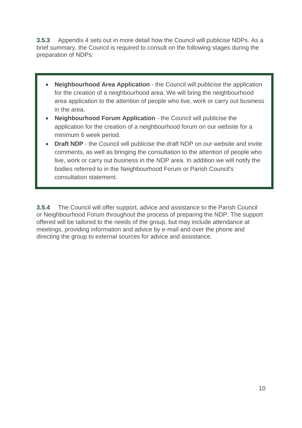**3.5.3** Appendix 4 sets out in more detail how the Council will publicise NDPs. As a brief summary, the Council is required to consult on the following stages during the preparation of NDPs:

- **Neighbourhood Area Application**  the Council will publicise the application for the creation of a neighbourhood area. We will bring the neighbourhood area application to the attention of people who live, work or carry out business in the area.
- **Neighbourhood Forum Application**  the Council will publicise the application for the creation of a neighbourhood forum on our website for a minimum 6 week period.
- **Draft NDP** the Council will publicise the draft NDP on our website and invite comments, as well as bringing the consultation to the attention of people who live, work or carry out business in the NDP area. In addition we will notify the bodies referred to in the Neighbourhood Forum or Parish Council's consultation statement.

**3.5.4** The Council will offer support, advice and assistance to the Parish Council or Neighbourhood Forum throughout the process of preparing the NDP. The support offered will be tailored to the needs of the group, but may include attendance at meetings, providing information and advice by e-mail and over the phone and directing the group to external sources for advice and assistance.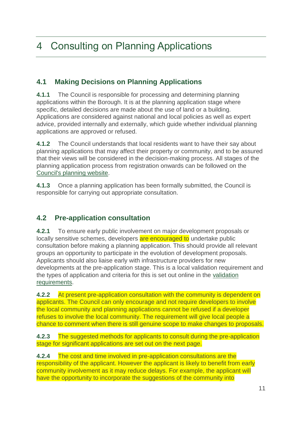## <span id="page-10-0"></span>4 Consulting on Planning Applications

## <span id="page-10-1"></span>**4.1 Making Decisions on Planning Applications**

**4.1.1** The Council is responsible for processing and determining planning applications within the Borough. It is at the planning application stage where specific, detailed decisions are made about the use of land or a building. Applications are considered against national and local policies as well as expert advice, provided internally and externally, which guide whether individual planning applications are approved or refused.

**4.1.2** The Council understands that local residents want to have their say about planning applications that may affect their property or community, and to be assured that their views will be considered in the decision-making process. All stages of the planning application process from registration onwards can be followed on the [Council's planning website.](https://www.elmbridge.gov.uk/planning/search-comment-participate/search-for-or-comment-on-a-planning-application/)

**4.1.3** Once a planning application has been formally submitted, the Council is responsible for carrying out appropriate consultation.

## <span id="page-10-2"></span>**4.2 Pre-application consultation**

**4.2.1** To ensure early public involvement on major development proposals or locally sensitive schemes, developers are encouraged to undertake public consultation before making a planning application. This should provide all relevant groups an opportunity to participate in the evolution of development proposals. Applicants should also liaise early with infrastructure providers for new developments at the pre-application stage. This is a local validation requirement and the types of application and criteria for this is set out online in the [validation](https://www.elmbridge.gov.uk/planning/requirements)  [requirements.](https://www.elmbridge.gov.uk/planning/requirements)

**4.2.2** At present pre-application consultation with the community is dependent on applicants. The Council can only encourage and not require developers to involve the local community and planning applications cannot be refused if a developer refuses to involve the local community. The requirement will give local people a chance to comment when there is still genuine scope to make changes to proposals.

**4.2.3** The suggested methods for applicants to consult during the pre-application stage for significant applications are set out on the next page.

**4.2.4** The cost and time involved in pre-application consultations are the responsibility of the applicant. However the applicant is likely to benefit from early community involvement as it may reduce delays. For example, the applicant will have the opportunity to incorporate the suggestions of the community into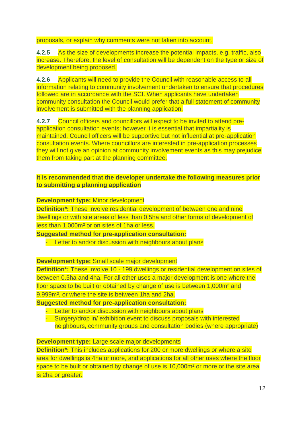proposals, or explain why comments were not taken into account.

**4.2.5** As the size of developments increase the potential impacts, e.g. traffic, also increase. Therefore, the level of consultation will be dependent on the type or size of development being proposed.

**4.2.6** Applicants will need to provide the Council with reasonable access to all information relating to community involvement undertaken to ensure that procedures followed are in accordance with the SCI. When applicants have undertaken community consultation the Council would prefer that a full statement of community involvement is submitted with the planning application.

**4.2.7** Council officers and councillors will expect to be invited to attend preapplication consultation events; however it is essential that impartiality is maintained. Council officers will be supportive but not influential at pre-application consultation events. Where councillors are interested in pre-application processes they will not give an opinion at community involvement events as this may prejudice them from taking part at the planning committee.

#### **It is recommended that the developer undertake the following measures prior to submitting a planning application**

**Development type:** Minor development

**Definition\*:** These involve residential development of between one and nine dwellings or with site areas of less than 0.5ha and other forms of development of less than 1,000m² or on sites of 1ha or less.

**Suggested method for pre-application consultation:**

- Letter to and/or discussion with neighbours about plans

**Development type:** Small scale major development

**Definition\*:** These involve 10 - 199 dwellings or residential development on sites of between 0.5ha and 4ha. For all other uses a major development is one where the floor space to be built or obtained by change of use is between 1,000m<sup>2</sup> and 9,999m², or where the site is between 1ha and 2ha.

**Suggested method for pre-application consultation:**

- Letter to and/or discussion with neighbours about plans
- Surgery/drop in/ exhibition event to discuss proposals with interested neighbours, community groups and consultation bodies (where appropriate)

#### **Development type:** Large scale major developments

**Definition\*:** This includes applications for 200 or more dwellings or where a site area for dwellings is 4ha or more, and applications for all other uses where the floor space to be built or obtained by change of use is 10,000m<sup>2</sup> or more or the site area is 2ha or greater.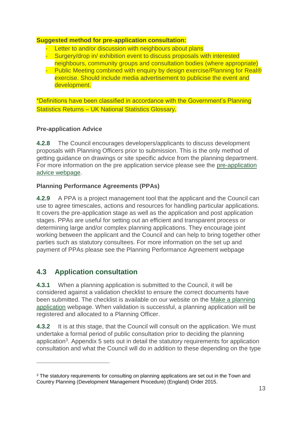#### **Suggested method for pre-application consultation:**

- Letter to and/or discussion with neighbours about plans
- **Surgery/drop in/ exhibition event to discuss proposals with interested** neighbours, community groups and consultation bodies (where appropriate)
- Public Meeting combined with enquiry by design exercise/Planning for Real® exercise. Should include media advertisement to publicise the event and development.

\*Definitions have been classified in accordance with the Government's Planning Statistics Returns – UK National Statistics Glossary.

### **Pre-application Advice**

**4.2.8** The Council encourages developers/applicants to discuss development proposals with Planning Officers prior to submission. This is the only method of getting guidance on drawings or site specific advice from the planning department. For more information on the pre application service please see the [pre-application](https://www.elmbridge.gov.uk/planning/pre-application-advice/)  [advice webpage.](https://www.elmbridge.gov.uk/planning/pre-application-advice/)

### **Planning Performance Agreements (PPAs)**

**4.2.9** A PPA is a project management tool that the applicant and the Council can use to agree timescales, actions and resources for handling particular applications. It covers the pre-application stage as well as the application and post application stages. PPAs are useful for setting out an efficient and transparent process or determining large and/or complex planning applications. They encourage joint working between the applicant and the Council and can help to bring together other parties such as statutory consultees. For more information on the set up and payment of PPAs please see the Planning Performance Agreement webpage

## <span id="page-12-0"></span>**4.3 Application consultation**

 $\overline{a}$ 

**4.3.1** When a planning application is submitted to the Council, it will be considered against a validation checklist to ensure the correct documents have been submitted. The checklist is available on our website on the [Make a planning](https://www.elmbridge.gov.uk/planning/apply-for-planning-permission/)  [application](https://www.elmbridge.gov.uk/planning/apply-for-planning-permission/) webpage. When validation is successful, a planning application will be registered and allocated to a Planning Officer.

**4.3.2** It is at this stage, that the Council will consult on the application. We must undertake a formal period of public consultation prior to deciding the planning application<sup>3</sup>. Appendix 5 sets out in detail the statutory requirements for application consultation and what the Council will do in addition to these depending on the type

<sup>&</sup>lt;sup>3</sup> The statutory requirements for consulting on planning applications are set out in the Town and Country Planning (Development Management Procedure) (England) Order 2015.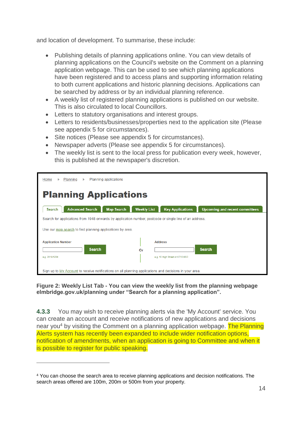and location of development. To summarise, these include:

- Publishing details of planning applications online. You can view details of planning applications on the Council's website on the Comment on a planning application webpage. This can be used to see which planning applications have been registered and to access plans and supporting information relating to both current applications and historic planning decisions. Applications can be searched by address or by an individual planning reference.
- A weekly list of registered planning applications is published on our website. This is also circulated to local Councillors.
- Letters to statutory organisations and interest groups.
- Letters to residents/businesses/properties next to the application site (Please see appendix 5 for circumstances).
- Site notices (Please see appendix 5 for circumstances).
- Newspaper adverts (Please see appendix 5 for circumstances).
- The weekly list is sent to the local press for publication every week, however, this is published at the newspaper's discretion.

| Planning applications<br>Home<br>Planning<br>)<br>$\gg$                                                                                  |                    |                         |                                       |  |
|------------------------------------------------------------------------------------------------------------------------------------------|--------------------|-------------------------|---------------------------------------|--|
| <b>Planning Applications</b>                                                                                                             |                    |                         |                                       |  |
| <b>Advanced Search</b><br><b>Map Search</b><br><b>Search</b>                                                                             | <b>Weekly List</b> | <b>Key Applications</b> | <b>Upcoming and recent committees</b> |  |
| Search for applications from 1948 onwards by application number, postcode or single line of an address.                                  |                    |                         |                                       |  |
| Use our map search to find planning applications by area.                                                                                |                    |                         |                                       |  |
| <b>Application Number</b><br><b>Address</b><br><b>Search</b><br><b>Search</b><br>Or<br>e.g. 10 High Street or KT10 9SD<br>e.g. 2018/1234 |                    |                         |                                       |  |
| Sign up to My Account to receive notifications on all planning applications and decisions in your area.                                  |                    |                         |                                       |  |

**Figure 2: Weekly List Tab - You can view the weekly list from the planning webpage elmbridge.gov.uk/planning under "Search for a planning application".**

**4.3.3** You may wish to receive planning alerts via the 'My Account' service. You can create an account and receive notifications of new applications and decisions near you<sup>4</sup> by visiting the Comment on a planning application webpage. The Planning Alerts system has recently been expanded to include wider notification options, notification of amendments, when an application is going to Committee and when it is possible to register for public speaking.

 $\overline{a}$ 

<sup>4</sup> You can choose the search area to receive planning applications and decision notifications. The search areas offered are 100m, 200m or 500m from your property.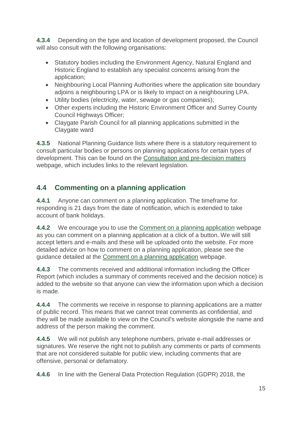**4.3.4** Depending on the type and location of development proposed, the Council will also consult with the following organisations:

- Statutory bodies including the Environment Agency, Natural England and Historic England to establish any specialist concerns arising from the application;
- Neighbouring Local Planning Authorities where the application site boundary adjoins a neighbouring LPA or is likely to impact on a neighbouring LPA.
- Utility bodies (electricity, water, sewage or gas companies);
- Other experts including the Historic Environment Officer and Surrey County Council Highways Officer;
- Claygate Parish Council for all planning applications submitted in the Claygate ward

**4.3.5** National Planning Guidance lists where there is a statutory requirement to consult particular bodies or persons on planning applications for certain types of development. This can be found on the [Consultation and pre-decision matters](https://www.gov.uk/guidance/consultation-and-pre-decision-matters#Public-consultation) webpage, which includes links to the relevant legislation.

## <span id="page-14-0"></span>**4.4 Commenting on a planning application**

**4.4.1** Anyone can comment on a planning application. The timeframe for responding is 21 days from the date of notification, which is extended to take account of bank holidays.

**4.4.2** We encourage you to use the [Comment on a planning application](https://www.elmbridge.gov.uk/planning/search-comment-participate/search-for-or-comment-on-a-planning-application/) webpage as you can comment on a planning application at a click of a button. We will still accept letters and e-mails and these will be uploaded onto the website. For more detailed advice on how to comment on a planning application, please see the guidance detailed at the [Comment on a planning application](https://www.elmbridge.gov.uk/planning/search-comment-participate/search-for-or-comment-on-a-planning-application/) webpage.

**4.4.3** The comments received and additional information including the Officer Report (which includes a summary of comments received and the decision notice) is added to the website so that anyone can view the information upon which a decision is made.

**4.4.4** The comments we receive in response to planning applications are a matter of public record. This means that we cannot treat comments as confidential, and they will be made available to view on the Council's website alongside the name and address of the person making the comment.

**4.4.5** We will not publish any telephone numbers, private e-mail addresses or signatures. We reserve the right not to publish any comments or parts of comments that are not considered suitable for public view, including comments that are offensive, personal or defamatory.

**4.4.6** In line with the General Data Protection Regulation (GDPR) 2018, the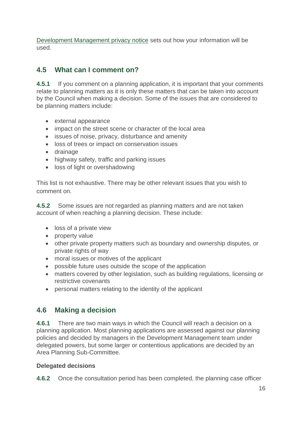[Development Management privacy notice](https://www.elmbridge.gov.uk/privacy-notices/planning-services/development-management/) sets out how your information will be used.

## <span id="page-15-0"></span>**4.5 What can I comment on?**

**4.5.1** If you comment on a planning application, it is important that your comments relate to planning matters as it is only these matters that can be taken into account by the Council when making a decision. Some of the issues that are considered to be planning matters include:

- external appearance
- impact on the street scene or character of the local area
- issues of noise, privacy, disturbance and amenity
- loss of trees or impact on conservation issues
- drainage
- highway safety, traffic and parking issues
- loss of light or overshadowing

This list is not exhaustive. There may be other relevant issues that you wish to comment on.

**4.5.2** Some issues are not regarded as planning matters and are not taken account of when reaching a planning decision. These include:

- loss of a private view
- property value
- other private property matters such as boundary and ownership disputes, or private rights of way
- moral issues or motives of the applicant
- possible future uses outside the scope of the application
- matters covered by other legislation, such as building regulations, licensing or restrictive covenants
- personal matters relating to the identity of the applicant

## <span id="page-15-1"></span>**4.6 Making a decision**

**4.6.1** There are two main ways in which the Council will reach a decision on a planning application. Most planning applications are assessed against our planning policies and decided by managers in the Development Management team under delegated powers, but some larger or contentious applications are decided by an Area Planning Sub-Committee.

#### **Delegated decisions**

**4.6.2** Once the consultation period has been completed, the planning case officer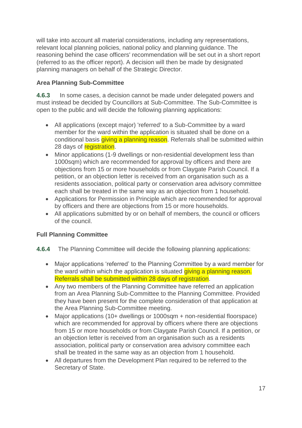will take into account all material considerations, including any representations, relevant local planning policies, national policy and planning guidance. The reasoning behind the case officers' recommendation will be set out in a short report (referred to as the officer report). A decision will then be made by designated planning managers on behalf of the Strategic Director.

### **Area Planning Sub-Committee**

**4.6.3** In some cases, a decision cannot be made under delegated powers and must instead be decided by Councillors at Sub-Committee. The Sub-Committee is open to the public and will decide the following planning applications:

- All applications (except major) 'referred' to a Sub-Committee by a ward member for the ward within the application is situated shall be done on a conditional basis giving a planning reason. Referrals shall be submitted within 28 days of registration.
- Minor applications (1-9 dwellings or non-residential development less than 1000sqm) which are recommended for approval by officers and there are objections from 15 or more households or from Claygate Parish Council. If a petition, or an objection letter is received from an organisation such as a residents association, political party or conservation area advisory committee each shall be treated in the same way as an objection from 1 household.
- Applications for Permission in Principle which are recommended for approval by officers and there are objections from 15 or more households.
- All applications submitted by or on behalf of members, the council or officers of the council.

#### **Full Planning Committee**

- **4.6.4** The Planning Committee will decide the following planning applications:
	- Major applications 'referred' to the Planning Committee by a ward member for the ward within which the application is situated *giving a planning reason*. Referrals shall be submitted within 28 days of registration.
	- Any two members of the Planning Committee have referred an application from an Area Planning Sub-Committee to the Planning Committee. Provided they have been present for the complete consideration of that application at the Area Planning Sub-Committee meeting.
	- Major applications (10+ dwellings or 1000sqm + non-residential floorspace) which are recommended for approval by officers where there are objections from 15 or more households or from Claygate Parish Council. If a petition, or an objection letter is received from an organisation such as a residents association, political party or conservation area advisory committee each shall be treated in the same way as an objection from 1 household.
	- All departures from the Development Plan required to be referred to the Secretary of State.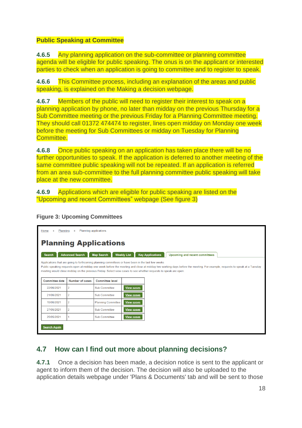#### **Public Speaking at Committee**

**4.6.5** Any planning application on the sub-committee or planning committee agenda will be eligible for public speaking. The onus is on the applicant or interested parties to check when an application is going to committee and to register to speak.

**4.6.6** This Committee process, including an explanation of the areas and public speaking, is explained on the Making a decision webpage.

**4.6.7** Members of the public will need to register their interest to speak on a planning application by phone, no later than midday on the previous Thursday for a Sub Committee meeting or the previous Friday for a Planning Committee meeting. They should call 01372 474474 to register, lines open midday on Monday one week before the meeting for Sub Committees or midday on Tuesday for Planning Committee.

**4.6.8** Once public speaking on an application has taken place there will be no further opportunities to speak. If the application is deferred to another meeting of the same committee public speaking will not be repeated. If an application is referred from an area sub-committee to the full planning committee public speaking will take place at the new committee.

**4.6.9** Applications which are eligible for public speaking are listed on the "Upcoming and recent Committees" webpage (See figure 3)

**Figure 3: Upcoming Committees**

| Home<br>$\mathcal{Y}$ | Planning applications<br>Planning<br>$\rangle$ |                                                                                                                                                                                                                                                |                    |                         |                                                                                                                                                                          |  |  |
|-----------------------|------------------------------------------------|------------------------------------------------------------------------------------------------------------------------------------------------------------------------------------------------------------------------------------------------|--------------------|-------------------------|--------------------------------------------------------------------------------------------------------------------------------------------------------------------------|--|--|
|                       | <b>Planning Applications</b>                   |                                                                                                                                                                                                                                                |                    |                         |                                                                                                                                                                          |  |  |
| <b>Search</b>         | <b>Advanced Search</b>                         | <b>Map Search</b>                                                                                                                                                                                                                              | <b>Weekly List</b> | <b>Key Applications</b> | Upcoming and recent committees                                                                                                                                           |  |  |
| <b>Committee date</b> | <b>Number of cases</b>                         | Applications that are going to forthcoming planning committees or have been in the last few weeks<br>meeting would close midday on the previous Friday. Select view cases to see whether requests to speak are open.<br><b>Committee level</b> |                    |                         | Public speaking requests open at midday one week before the meeting and close at midday two working days before the meeting. For example, requests to speak at a Tuesday |  |  |
| 22/06/2021            | $\overline{c}$                                 | <b>Sub Committee</b>                                                                                                                                                                                                                           | <b>View cases</b>  |                         |                                                                                                                                                                          |  |  |
| 21/06/2021            | $\overline{2}$                                 | <b>Sub Committee</b>                                                                                                                                                                                                                           | <b>View cases</b>  |                         |                                                                                                                                                                          |  |  |
| 15/06/2021            | $\overline{2}$                                 | <b>Planning Committee</b>                                                                                                                                                                                                                      | <b>View cases</b>  |                         |                                                                                                                                                                          |  |  |
| 27/05/2021            | $\overline{2}$                                 | <b>Sub Committee</b>                                                                                                                                                                                                                           | <b>View cases</b>  |                         |                                                                                                                                                                          |  |  |
| 25/05/2021            |                                                | <b>Sub Committee</b>                                                                                                                                                                                                                           | <b>View cases</b>  |                         |                                                                                                                                                                          |  |  |
| <b>Search Again</b>   |                                                |                                                                                                                                                                                                                                                |                    |                         |                                                                                                                                                                          |  |  |

## <span id="page-17-0"></span>**4.7 How can I find out more about planning decisions?**

**4.7.1** Once a decision has been made, a decision notice is sent to the applicant or agent to inform them of the decision. The decision will also be uploaded to the application details webpage under 'Plans & Documents' tab and will be sent to those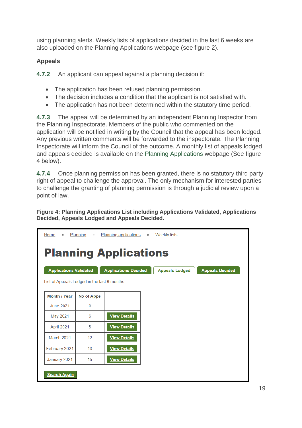using planning alerts. Weekly lists of applications decided in the last 6 weeks are also uploaded on the Planning Applications webpage (see figure 2).

### **Appeals**

**4.7.2** An applicant can appeal against a planning decision if:

- The application has been refused planning permission.
- The decision includes a condition that the applicant is not satisfied with.
- The application has not been determined within the statutory time period.

**4.7.3** The appeal will be determined by an independent Planning Inspector from the Planning Inspectorate. Members of the public who commented on the application will be notified in writing by the Council that the appeal has been lodged. Any previous written comments will be forwarded to the inspectorate. The Planning Inspectorate will inform the Council of the outcome. A monthly list of appeals lodged and appeals decided is available on the [Planning Applications](http://emaps.elmbridge.gov.uk/ebc_planning.aspx?requesttype=parseTemplate&template=WeeklyListAppealsLodgedTab.tmplt) webpage (See figure 4 below).

**4.7.4** Once planning permission has been granted, there is no statutory third party right of appeal to challenge the approval. The only mechanism for interested parties to challenge the granting of planning permission is through a judicial review upon a point of law.

**Figure 4: Planning Applications List including Applications Validated, Applications Decided, Appeals Lodged and Appeals Decided.**

| Home » Planning »                           |                              | Planning applications » Weekly lists |  |                       |                        |  |
|---------------------------------------------|------------------------------|--------------------------------------|--|-----------------------|------------------------|--|
|                                             | <b>Planning Applications</b> |                                      |  |                       |                        |  |
| <b>Applications Validated</b>               |                              | <b>Applications Decided</b>          |  | <b>Appeals Lodged</b> | <b>Appeals Decided</b> |  |
| List of Appeals Lodged in the last 6 months |                              |                                      |  |                       |                        |  |
| Month / Year                                | <b>No of Apps</b>            |                                      |  |                       |                        |  |
| <b>June 2021</b>                            | $\mathbf{0}$                 |                                      |  |                       |                        |  |
| May 2021                                    | 6                            | <b>View Details</b>                  |  |                       |                        |  |
| April 2021                                  | 5                            | <b>View Details</b>                  |  |                       |                        |  |
| March 2021                                  | 12                           | <b>View Details</b>                  |  |                       |                        |  |
| February 2021                               | 13                           | <b>View Details</b>                  |  |                       |                        |  |
| January 2021                                | 15                           | <b>View Details</b>                  |  |                       |                        |  |
| <b>Search Again</b>                         |                              |                                      |  |                       |                        |  |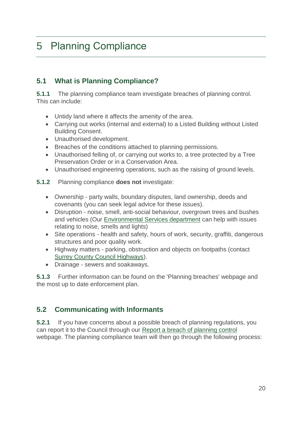## <span id="page-19-0"></span>5 Planning Compliance

## <span id="page-19-1"></span>**5.1 What is Planning Compliance?**

**5.1.1** The planning compliance team investigate breaches of planning control. This can include:

- Untidy land where it affects the amenity of the area.
- Carrying out works (internal and external) to a Listed Building without Listed Building Consent.
- Unauthorised development.
- Breaches of the conditions attached to planning permissions.
- Unauthorised felling of, or carrying out works to, a tree protected by a Tree Preservation Order or in a Conservation Area.
- Unauthorised engineering operations, such as the raising of ground levels.
- **5.1.2** Planning compliance **does not** investigate:
	- Ownership party walls, boundary disputes, land ownership, deeds and covenants (you can seek legal advice for these issues).
	- Disruption noise, smell, anti-social behaviour, overgrown trees and bushes and vehicles (Our [Environmental Services department](https://www.elmbridge.gov.uk/pollution/) can help with issues relating to noise, smells and lights)
	- Site operations health and safety, hours of work, security, graffiti, dangerous structures and poor quality work.
	- Highway matters parking, obstruction and objects on footpaths (contact [Surrey County Council Highways\)](https://www.surreycc.gov.uk/roads-and-transport).
	- Drainage sewers and soakaways.

**5.1.3** Further information can be found on the 'Planning breaches' webpage and the most up to date enforcement plan.

## <span id="page-19-2"></span>**5.2 Communicating with Informants**

**5.2.1** If you have concerns about a possible breach of planning regulations, you can report it to the Council through our [Report a breach of planning control](https://www.elmbridge.gov.uk/planning/planning-breaches/report-a-planning-breach/) webpage. The planning compliance team will then go through the following process: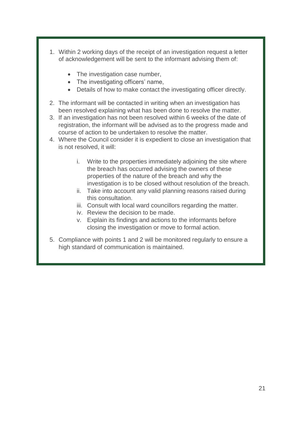- 1. Within 2 working days of the receipt of an investigation request a letter of acknowledgement will be sent to the informant advising them of:
	- The investigation case number,
	- The investigating officers' name,
	- Details of how to make contact the investigating officer directly.
- 2. The informant will be contacted in writing when an investigation has been resolved explaining what has been done to resolve the matter.
- 3. If an investigation has not been resolved within 6 weeks of the date of registration, the informant will be advised as to the progress made and course of action to be undertaken to resolve the matter.
- 4. Where the Council consider it is expedient to close an investigation that is not resolved, it will:
	- i. Write to the properties immediately adjoining the site where the breach has occurred advising the owners of these properties of the nature of the breach and why the investigation is to be closed without resolution of the breach.
	- ii. Take into account any valid planning reasons raised during this consultation.
	- iii. Consult with local ward councillors regarding the matter.
	- iv. Review the decision to be made.
	- v. Explain its findings and actions to the informants before closing the investigation or move to formal action.
- 5. Compliance with points 1 and 2 will be monitored regularly to ensure a high standard of communication is maintained.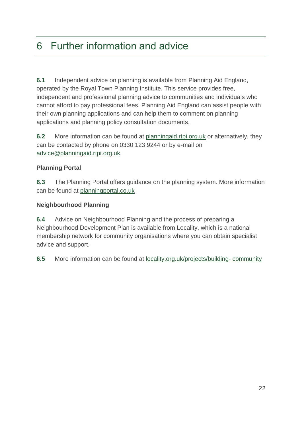## <span id="page-21-0"></span>6 Further information and advice

**6.1** Independent advice on planning is available from Planning Aid England, operated by the Royal Town Planning Institute. This service provides free, independent and professional planning advice to communities and individuals who cannot afford to pay professional fees. Planning Aid England can assist people with their own planning applications and can help them to comment on planning applications and planning policy consultation documents.

**6.2** More information can be found at [planningaid.rtpi.org.uk](http://www.planningaid.rtpi.org.uk/) or alternatively, they can be contacted by phone on 0330 123 9244 or by e-mail on [advice@planningaid.rtpi.org.uk](mailto:advice@planningaid.rtpi.org.uk)

### **Planning Portal**

**6.3** The Planning Portal offers guidance on the planning system. More information can be found at [planningportal.co.uk](https://www.planningportal.co.uk/)

### **Neighbourhood Planning**

**6.4** Advice on Neighbourhood Planning and the process of preparing a Neighbourhood Development Plan is available from Locality, which is a national membership network for community organisations where you can obtain specialist advice and support.

**6.5** More information can be found at [locality.org.uk/projects/building-](http://www.locality.org.uk/projects/building-community/) community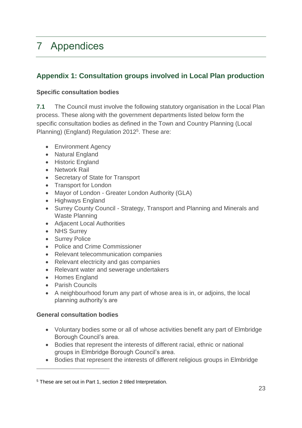## <span id="page-22-0"></span>7 Appendices

## <span id="page-22-1"></span>**Appendix 1: Consultation groups involved in Local Plan production**

### **Specific consultation bodies**

**7.1** The Council must involve the following statutory organisation in the Local Plan process. These along with the government departments listed below form the specific consultation bodies as defined in the Town and Country Planning (Local Planning) (England) Regulation 2012<sup>5</sup>. These are:

- Environment Agency
- Natural England
- Historic England
- Network Rail
- Secretary of State for Transport
- Transport for London
- Mayor of London Greater London Authority (GLA)
- Highways England
- Surrey County Council Strategy, Transport and Planning and Minerals and Waste Planning
- Adjacent Local Authorities
- NHS Surrey
- Surrey Police
- Police and Crime Commissioner
- Relevant telecommunication companies
- Relevant electricity and gas companies
- Relevant water and sewerage undertakers
- Homes England
- Parish Councils

 $\overline{a}$ 

• A neighbourhood forum any part of whose area is in, or adjoins, the local planning authority's are

#### **General consultation bodies**

- Voluntary bodies some or all of whose activities benefit any part of Elmbridge Borough Council's area.
- Bodies that represent the interests of different racial, ethnic or national groups in Elmbridge Borough Council's area.
- Bodies that represent the interests of different religious groups in Elmbridge

<sup>5</sup> These are set out in Part 1, section 2 titled Interpretation.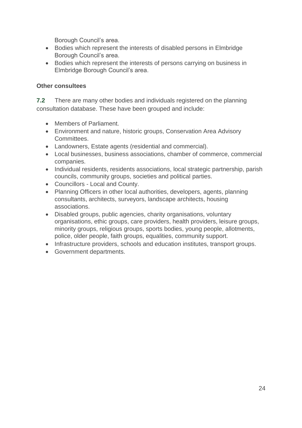Borough Council's area.

- Bodies which represent the interests of disabled persons in Elmbridge Borough Council's area.
- Bodies which represent the interests of persons carrying on business in Elmbridge Borough Council's area.

#### **Other consultees**

**7.2** There are many other bodies and individuals registered on the planning consultation database. These have been grouped and include:

- Members of Parliament.
- Environment and nature, historic groups, Conservation Area Advisory **Committees**
- Landowners, Estate agents (residential and commercial).
- Local businesses, business associations, chamber of commerce, commercial companies.
- Individual residents, residents associations, local strategic partnership, parish councils, community groups, societies and political parties.
- Councillors Local and County.
- Planning Officers in other local authorities, developers, agents, planning consultants, architects, surveyors, landscape architects, housing associations.
- Disabled groups, public agencies, charity organisations, voluntary organisations, ethic groups, care providers, health providers, leisure groups, minority groups, religious groups, sports bodies, young people, allotments, police, older people, faith groups, equalities, community support.
- Infrastructure providers, schools and education institutes, transport groups,
- Government departments.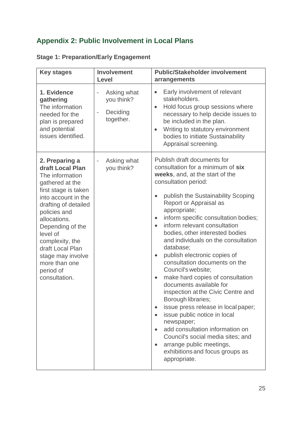## <span id="page-24-0"></span>**Appendix 2: Public Involvement in Local Plans**

| <b>Key stages</b>                                                                                                                                                                                                                                                                                                          | <b>Involvement</b><br>Level                                                                                | <b>Public/Stakeholder involvement</b><br>arrangements                                                                                                                                                                                                                                                                                                                                                                                                                                                                                                                                                                                                                                                                                                                                                                                                                           |
|----------------------------------------------------------------------------------------------------------------------------------------------------------------------------------------------------------------------------------------------------------------------------------------------------------------------------|------------------------------------------------------------------------------------------------------------|---------------------------------------------------------------------------------------------------------------------------------------------------------------------------------------------------------------------------------------------------------------------------------------------------------------------------------------------------------------------------------------------------------------------------------------------------------------------------------------------------------------------------------------------------------------------------------------------------------------------------------------------------------------------------------------------------------------------------------------------------------------------------------------------------------------------------------------------------------------------------------|
| 1. Evidence<br>gathering<br>The information<br>needed for the<br>plan is prepared<br>and potential<br>issues identified.                                                                                                                                                                                                   | Asking what<br>$\overline{\phantom{0}}$<br>you think?<br>Deciding<br>$\overline{\phantom{0}}$<br>together. | Early involvement of relevant<br>$\bullet$<br>stakeholders.<br>Hold focus group sessions where<br>$\bullet$<br>necessary to help decide issues to<br>be included in the plan.<br>Writing to statutory environment<br>$\bullet$<br>bodies to initiate Sustainability<br>Appraisal screening.                                                                                                                                                                                                                                                                                                                                                                                                                                                                                                                                                                                     |
| 2. Preparing a<br>draft Local Plan<br>The information<br>gathered at the<br>first stage is taken<br>into account in the<br>drafting of detailed<br>policies and<br>allocations.<br>Depending of the<br>level of<br>complexity, the<br>draft Local Plan<br>stage may involve<br>more than one<br>period of<br>consultation. | Asking what<br>you think?                                                                                  | Publish draft documents for<br>consultation for a minimum of six<br>weeks, and, at the start of the<br>consultation period:<br>publish the Sustainability Scoping<br>Report or Appraisal as<br>appropriate;<br>inform specific consultation bodies;<br>$\bullet$<br>inform relevant consultation<br>bodies, other interested bodies<br>and individuals on the consultation<br>database;<br>publish electronic copies of<br>$\bullet$<br>consultation documents on the<br>Council's website;<br>make hard copies of consultation<br>$\bullet$<br>documents available for<br>inspection at the Civic Centre and<br>Borough libraries;<br>issue press release in local paper;<br>issue public notice in local<br>newspaper;<br>add consultation information on<br>Council's social media sites; and<br>arrange public meetings,<br>exhibitions and focus groups as<br>appropriate. |

## **Stage 1: Preparation/Early Engagement**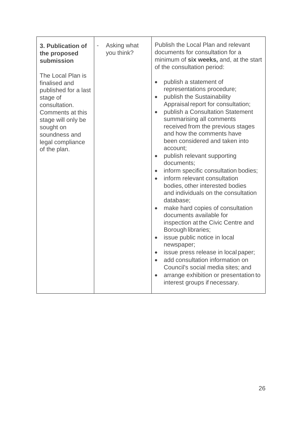| 3. Publication of<br>the proposed<br>submission<br>The Local Plan is<br>finalised and                                                                         | Asking what<br>$\overline{\phantom{a}}$<br>you think? | Publish the Local Plan and relevant<br>documents for consultation for a<br>minimum of six weeks, and, at the start<br>of the consultation period:<br>publish a statement of<br>$\bullet$                                                                                                                                                                                                                                                                                                                                                                                                                                                                                                                                                                                                                                                                                                                                                                                          |
|---------------------------------------------------------------------------------------------------------------------------------------------------------------|-------------------------------------------------------|-----------------------------------------------------------------------------------------------------------------------------------------------------------------------------------------------------------------------------------------------------------------------------------------------------------------------------------------------------------------------------------------------------------------------------------------------------------------------------------------------------------------------------------------------------------------------------------------------------------------------------------------------------------------------------------------------------------------------------------------------------------------------------------------------------------------------------------------------------------------------------------------------------------------------------------------------------------------------------------|
| published for a last<br>stage of<br>consultation.<br>Comments at this<br>stage will only be<br>sought on<br>soundness and<br>legal compliance<br>of the plan. |                                                       | representations procedure;<br>publish the Sustainability<br>$\bullet$<br>Appraisal report for consultation;<br>publish a Consultation Statement<br>$\bullet$<br>summarising all comments<br>received from the previous stages<br>and how the comments have<br>been considered and taken into<br>account;<br>publish relevant supporting<br>$\bullet$<br>documents;<br>inform specific consultation bodies;<br>$\bullet$<br>inform relevant consultation<br>$\bullet$<br>bodies, other interested bodies<br>and individuals on the consultation<br>database;<br>make hard copies of consultation<br>$\bullet$<br>documents available for<br>inspection at the Civic Centre and<br>Borough libraries;<br>issue public notice in local<br>$\bullet$<br>newspaper;<br>issue press release in local paper;<br>$\bullet$<br>add consultation information on<br>$\bullet$<br>Council's social media sites; and<br>arrange exhibition or presentation to<br>interest groups if necessary. |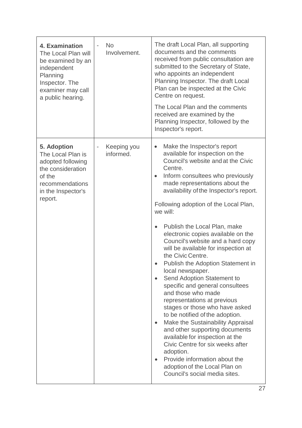| 4. Examination<br>The Local Plan will<br>be examined by an<br>independent<br>Planning<br>Inspector. The<br>examiner may call<br>a public hearing. | <b>No</b><br>$\overline{a}$<br>Involvement. | The draft Local Plan, all supporting<br>documents and the comments<br>received from public consultation are<br>submitted to the Secretary of State,<br>who appoints an independent<br>Planning Inspector. The draft Local<br>Plan can be inspected at the Civic<br>Centre on request.<br>The Local Plan and the comments<br>received are examined by the<br>Planning Inspector, followed by the<br>Inspector's report.                                                                                                                                                                                                                                                                                                                                                                                                                                                                                                                                                                                   |
|---------------------------------------------------------------------------------------------------------------------------------------------------|---------------------------------------------|----------------------------------------------------------------------------------------------------------------------------------------------------------------------------------------------------------------------------------------------------------------------------------------------------------------------------------------------------------------------------------------------------------------------------------------------------------------------------------------------------------------------------------------------------------------------------------------------------------------------------------------------------------------------------------------------------------------------------------------------------------------------------------------------------------------------------------------------------------------------------------------------------------------------------------------------------------------------------------------------------------|
| 5. Adoption<br>The Local Plan is<br>adopted following<br>the consideration<br>of the<br>recommendations<br>in the Inspector's<br>report.          | Keeping you<br>informed.                    | Make the Inspector's report<br>$\bullet$<br>available for inspection on the<br>Council's website and at the Civic<br>Centre.<br>Inform consultees who previously<br>$\bullet$<br>made representations about the<br>availability of the Inspector's report.<br>Following adoption of the Local Plan,<br>we will:<br>Publish the Local Plan, make<br>electronic copies available on the<br>Council's website and a hard copy<br>will be available for inspection at<br>the Civic Centre.<br>Publish the Adoption Statement in<br>local newspaper.<br>Send Adoption Statement to<br>specific and general consultees<br>and those who made<br>representations at previous<br>stages or those who have asked<br>to be notified of the adoption.<br>Make the Sustainability Appraisal<br>and other supporting documents<br>available for inspection at the<br>Civic Centre for six weeks after<br>adoption.<br>Provide information about the<br>adoption of the Local Plan on<br>Council's social media sites. |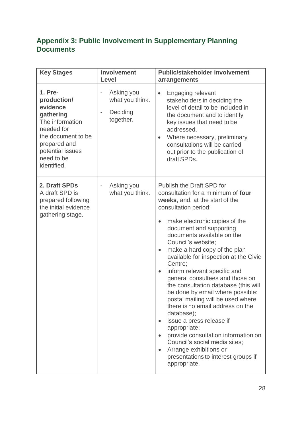## <span id="page-27-0"></span>**Appendix 3: Public Involvement in Supplementary Planning Documents**

| <b>Key Stages</b>                                                                                                                                                       | <b>Involvement</b><br>Level                                                                              | <b>Public/stakeholder involvement</b><br>arrangements                                                                                                                                                                                                                                                                                                                                                                                                                                                                                                                                                                                                                                                                                                                                                      |
|-------------------------------------------------------------------------------------------------------------------------------------------------------------------------|----------------------------------------------------------------------------------------------------------|------------------------------------------------------------------------------------------------------------------------------------------------------------------------------------------------------------------------------------------------------------------------------------------------------------------------------------------------------------------------------------------------------------------------------------------------------------------------------------------------------------------------------------------------------------------------------------------------------------------------------------------------------------------------------------------------------------------------------------------------------------------------------------------------------------|
| 1. Pre-<br>production/<br>evidence<br>gathering<br>The information<br>needed for<br>the document to be<br>prepared and<br>potential issues<br>need to be<br>identified. | Asking you<br>$\qquad \qquad \blacksquare$<br>what you think.<br>Deciding<br>$\blacksquare$<br>together. | <b>Engaging relevant</b><br>$\bullet$<br>stakeholders in deciding the<br>level of detail to be included in<br>the document and to identify<br>key issues that need to be<br>addressed.<br>Where necessary, preliminary<br>$\bullet$<br>consultations will be carried<br>out prior to the publication of<br>draft SPDs.                                                                                                                                                                                                                                                                                                                                                                                                                                                                                     |
| 2. Draft SPDs<br>A draft SPD is<br>prepared following<br>the initial evidence<br>gathering stage.                                                                       | Asking you<br>$\qquad \qquad \blacksquare$<br>what you think.                                            | <b>Publish the Draft SPD for</b><br>consultation for a minimum of four<br>weeks, and, at the start of the<br>consultation period:<br>make electronic copies of the<br>document and supporting<br>documents available on the<br>Council's website;<br>make a hard copy of the plan<br>$\bullet$<br>available for inspection at the Civic<br>Centre;<br>inform relevant specific and<br>$\bullet$<br>general consultees and those on<br>the consultation database (this will<br>be done by email where possible:<br>postal mailing will be used where<br>there is no email address on the<br>database);<br>issue a press release if<br>appropriate;<br>provide consultation information on<br>Council's social media sites;<br>Arrange exhibitions or<br>presentations to interest groups if<br>appropriate. |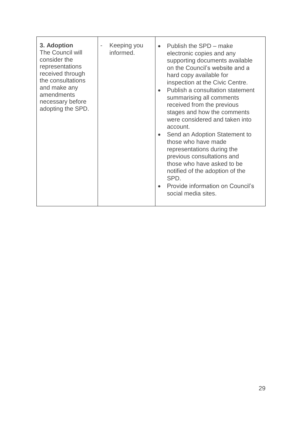| 3. Adoption<br>The Council will<br>consider the<br>representations<br>received through<br>the consultations<br>and make any<br>amendments<br>necessary before<br>adopting the SPD. | Keeping you<br>informed. | Publish the SPD – make<br>$\bullet$<br>electronic copies and any<br>supporting documents available<br>on the Council's website and a<br>hard copy available for<br>inspection at the Civic Centre.<br>Publish a consultation statement<br>$\bullet$<br>summarising all comments<br>received from the previous<br>stages and how the comments<br>were considered and taken into<br>account.<br>Send an Adoption Statement to<br>$\bullet$<br>those who have made<br>representations during the<br>previous consultations and<br>those who have asked to be<br>notified of the adoption of the<br>SPD.<br>Provide information on Council's<br>social media sites. |
|------------------------------------------------------------------------------------------------------------------------------------------------------------------------------------|--------------------------|-----------------------------------------------------------------------------------------------------------------------------------------------------------------------------------------------------------------------------------------------------------------------------------------------------------------------------------------------------------------------------------------------------------------------------------------------------------------------------------------------------------------------------------------------------------------------------------------------------------------------------------------------------------------|
|                                                                                                                                                                                    |                          |                                                                                                                                                                                                                                                                                                                                                                                                                                                                                                                                                                                                                                                                 |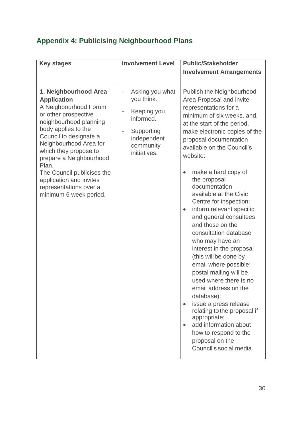## <span id="page-29-0"></span>**Appendix 4: Publicising Neighbourhood Plans**

| <b>Key stages</b>                                                                                                                                                                                                                                                                                                                                                           | <b>Involvement Level</b>                                                                                                                                                               | <b>Public/Stakeholder</b><br><b>Involvement Arrangements</b>                                                                                                                                                                                                                                                                                                                                                                                                                                                                                                                                                                                                                                                                                                                                                                                                                          |
|-----------------------------------------------------------------------------------------------------------------------------------------------------------------------------------------------------------------------------------------------------------------------------------------------------------------------------------------------------------------------------|----------------------------------------------------------------------------------------------------------------------------------------------------------------------------------------|---------------------------------------------------------------------------------------------------------------------------------------------------------------------------------------------------------------------------------------------------------------------------------------------------------------------------------------------------------------------------------------------------------------------------------------------------------------------------------------------------------------------------------------------------------------------------------------------------------------------------------------------------------------------------------------------------------------------------------------------------------------------------------------------------------------------------------------------------------------------------------------|
| 1. Neighbourhood Area<br><b>Application</b><br>A Neighbourhood Forum<br>or other prospective<br>neighbourhood planning<br>body applies to the<br>Council to designate a<br>Neighbourhood Area for<br>which they propose to<br>prepare a Neighbourhood<br>Plan.<br>The Council publicises the<br>application and invites<br>representations over a<br>minimum 6 week period. | Asking you what<br>$\qquad \qquad -$<br>you think.<br>Keeping you<br>$\overline{a}$<br>informed.<br>Supporting<br>$\overline{\phantom{0}}$<br>independent<br>community<br>initiatives. | Publish the Neighbourhood<br>Area Proposal and invite<br>representations for a<br>minimum of six weeks, and,<br>at the start of the period,<br>make electronic copies of the<br>proposal documentation<br>available on the Council's<br>website:<br>make a hard copy of<br>$\bullet$<br>the proposal<br>documentation<br>available at the Civic<br>Centre for inspection;<br>inform relevant specific<br>$\bullet$<br>and general consultees<br>and those on the<br>consultation database<br>who may have an<br>interest in the proposal<br>(this will be done by<br>email where possible:<br>postal mailing will be<br>used where there is no<br>email address on the<br>database);<br>issue a press release<br>$\bullet$<br>relating to the proposal if<br>appropriate;<br>add information about<br>$\bullet$<br>how to respond to the<br>proposal on the<br>Council's social media |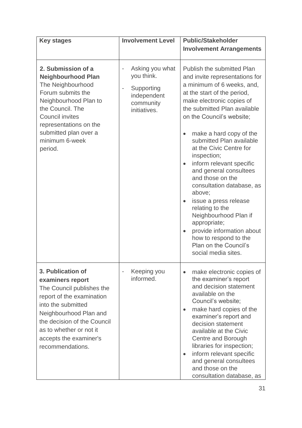| <b>Key stages</b>                                                                                                                                                                                                                                       | <b>Involvement Level</b>                                                                                                              | <b>Public/Stakeholder</b>                                                                                                                                                                                                                                                                                                                                                                                                                                                                                                                                                                                                                                                            |
|---------------------------------------------------------------------------------------------------------------------------------------------------------------------------------------------------------------------------------------------------------|---------------------------------------------------------------------------------------------------------------------------------------|--------------------------------------------------------------------------------------------------------------------------------------------------------------------------------------------------------------------------------------------------------------------------------------------------------------------------------------------------------------------------------------------------------------------------------------------------------------------------------------------------------------------------------------------------------------------------------------------------------------------------------------------------------------------------------------|
|                                                                                                                                                                                                                                                         |                                                                                                                                       | <b>Involvement Arrangements</b>                                                                                                                                                                                                                                                                                                                                                                                                                                                                                                                                                                                                                                                      |
| 2. Submission of a<br><b>Neighbourhood Plan</b><br>The Neighbourhood<br>Forum submits the<br>Neighbourhood Plan to<br>the Council. The<br><b>Council invites</b><br>representations on the<br>submitted plan over a<br>minimum 6-week<br>period.        | Asking you what<br>$\overline{\phantom{0}}$<br>you think.<br>Supporting<br>$\overline{a}$<br>independent<br>community<br>initiatives. | Publish the submitted Plan<br>and invite representations for<br>a minimum of 6 weeks, and,<br>at the start of the period,<br>make electronic copies of<br>the submitted Plan available<br>on the Council's website;<br>make a hard copy of the<br>$\bullet$<br>submitted Plan available<br>at the Civic Centre for<br>inspection;<br>inform relevant specific<br>$\bullet$<br>and general consultees<br>and those on the<br>consultation database, as<br>above;<br>issue a press release<br>$\bullet$<br>relating to the<br>Neighbourhood Plan if<br>appropriate;<br>provide information about<br>$\bullet$<br>how to respond to the<br>Plan on the Council's<br>social media sites. |
| 3. Publication of<br>examiners report<br>The Council publishes the<br>report of the examination<br>into the submitted<br>Neighbourhood Plan and<br>the decision of the Council<br>as to whether or not it<br>accepts the examiner's<br>recommendations. | Keeping you<br>informed.                                                                                                              | make electronic copies of<br>$\bullet$<br>the examiner's report<br>and decision statement<br>available on the<br>Council's website;<br>make hard copies of the<br>$\bullet$<br>examiner's report and<br>decision statement<br>available at the Civic<br>Centre and Borough<br>libraries for inspection;<br>inform relevant specific<br>$\bullet$<br>and general consultees<br>and those on the<br>consultation database, as                                                                                                                                                                                                                                                          |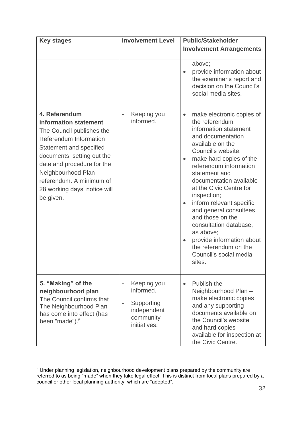| <b>Key stages</b>                                                                                                                                                                                                                                                                   | <b>Involvement Level</b>                                                                                                         | <b>Public/Stakeholder</b>                                                                                                                                                                                                                                                                                                                                                                                                                                                                                                                     |
|-------------------------------------------------------------------------------------------------------------------------------------------------------------------------------------------------------------------------------------------------------------------------------------|----------------------------------------------------------------------------------------------------------------------------------|-----------------------------------------------------------------------------------------------------------------------------------------------------------------------------------------------------------------------------------------------------------------------------------------------------------------------------------------------------------------------------------------------------------------------------------------------------------------------------------------------------------------------------------------------|
|                                                                                                                                                                                                                                                                                     |                                                                                                                                  | <b>Involvement Arrangements</b>                                                                                                                                                                                                                                                                                                                                                                                                                                                                                                               |
|                                                                                                                                                                                                                                                                                     |                                                                                                                                  | above;<br>provide information about<br>the examiner's report and<br>decision on the Council's<br>social media sites.                                                                                                                                                                                                                                                                                                                                                                                                                          |
| 4. Referendum<br>information statement<br>The Council publishes the<br>Referendum Information<br>Statement and specified<br>documents, setting out the<br>date and procedure for the<br>Neighbourhood Plan<br>referendum. A minimum of<br>28 working days' notice will<br>be given. | Keeping you<br>$\overline{a}$<br>informed.                                                                                       | make electronic copies of<br>$\bullet$<br>the referendum<br>information statement<br>and documentation<br>available on the<br>Council's website;<br>make hard copies of the<br>$\bullet$<br>referendum information<br>statement and<br>documentation available<br>at the Civic Centre for<br>inspection;<br>inform relevant specific<br>$\bullet$<br>and general consultees<br>and those on the<br>consultation database,<br>as above;<br>provide information about<br>$\bullet$<br>the referendum on the<br>Council's social media<br>sites. |
| 5. "Making" of the<br>neighbourhood plan<br>The Council confirms that<br>The Neighbourhood Plan<br>has come into effect (has<br>been "made"). <sup>6</sup>                                                                                                                          | Keeping you<br>$\overline{\phantom{0}}$<br>informed.<br>Supporting<br>$\overline{a}$<br>independent<br>community<br>initiatives. | Publish the<br>$\bullet$<br>Neighbourhood Plan-<br>make electronic copies<br>and any supporting<br>documents available on<br>the Council's website<br>and hard copies<br>available for inspection at<br>the Civic Centre.                                                                                                                                                                                                                                                                                                                     |

 $6$  Under planning legislation, neighbourhood development plans prepared by the community are referred to as being "made" when they take legal effect. This is distinct from local plans prepared by a council or other local planning authority, which are "adopted".

 $\overline{a}$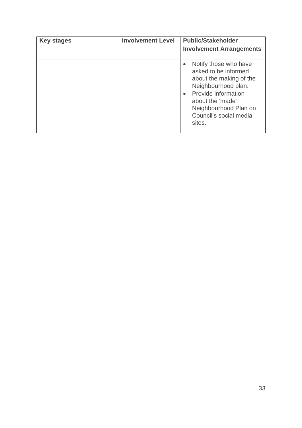<span id="page-32-0"></span>

| <b>Key stages</b> | <b>Involvement Level</b> | <b>Public/Stakeholder</b><br><b>Involvement Arrangements</b>                                                                                                                                                         |
|-------------------|--------------------------|----------------------------------------------------------------------------------------------------------------------------------------------------------------------------------------------------------------------|
|                   |                          | Notify those who have<br>asked to be informed<br>about the making of the<br>Neighbourhood plan.<br>Provide information<br>$\bullet$<br>about the 'made'<br>Neighbourhood Plan on<br>Council's social media<br>sites. |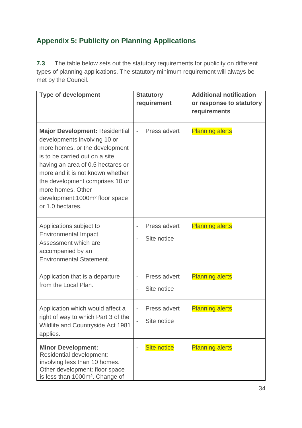## **Appendix 5: Publicity on Planning Applications**

**7.3** The table below sets out the statutory requirements for publicity on different types of planning applications. The statutory minimum requirement will always be met by the Council.

| <b>Type of development</b>                                                                                                                                                                                                                                                                                                                   | <b>Statutory</b><br>requirement | <b>Additional notification</b><br>or response to statutory<br>requirements |
|----------------------------------------------------------------------------------------------------------------------------------------------------------------------------------------------------------------------------------------------------------------------------------------------------------------------------------------------|---------------------------------|----------------------------------------------------------------------------|
| <b>Major Development: Residential</b><br>developments involving 10 or<br>more homes, or the development<br>is to be carried out on a site<br>having an area of 0.5 hectares or<br>more and it is not known whether<br>the development comprises 10 or<br>more homes. Other<br>development:1000m <sup>2</sup> floor space<br>or 1.0 hectares. | Press advert                    | <b>Planning alerts</b>                                                     |
| Applications subject to<br><b>Environmental Impact</b><br>Assessment which are<br>accompanied by an<br><b>Environmental Statement.</b>                                                                                                                                                                                                       | Press advert<br>Site notice     | <b>Planning alerts</b>                                                     |
| Application that is a departure<br>from the Local Plan.                                                                                                                                                                                                                                                                                      | Press advert<br>Site notice     | <b>Planning alerts</b>                                                     |
| Application which would affect a<br>right of way to which Part 3 of the<br>Wildlife and Countryside Act 1981<br>applies.                                                                                                                                                                                                                     | Press advert<br>Site notice     | <b>Planning alerts</b>                                                     |
| <b>Minor Development:</b><br><b>Residential development:</b><br>involving less than 10 homes.<br>Other development: floor space<br>is less than 1000m <sup>2</sup> . Change of                                                                                                                                                               | <b>Site notice</b>              | <b>Planning alerts</b>                                                     |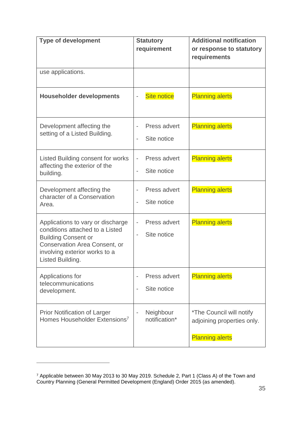| <b>Type of development</b>                                                                                                                                                               | <b>Statutory</b><br>requirement                                                     | <b>Additional notification</b><br>or response to statutory                       |
|------------------------------------------------------------------------------------------------------------------------------------------------------------------------------------------|-------------------------------------------------------------------------------------|----------------------------------------------------------------------------------|
|                                                                                                                                                                                          |                                                                                     | requirements                                                                     |
| use applications.                                                                                                                                                                        |                                                                                     |                                                                                  |
| <b>Householder developments</b>                                                                                                                                                          | <b>Site notice</b>                                                                  | <b>Planning alerts</b>                                                           |
| Development affecting the<br>setting of a Listed Building.                                                                                                                               | Press advert<br>Site notice<br>$\overline{a}$                                       | <b>Planning alerts</b>                                                           |
| Listed Building consent for works<br>affecting the exterior of the<br>building.                                                                                                          | Press advert<br>$\overline{\phantom{0}}$<br>Site notice<br>$\overline{\phantom{0}}$ | <b>Planning alerts</b>                                                           |
| Development affecting the<br>character of a Conservation<br>Area.                                                                                                                        | Press advert<br>Site notice                                                         | <b>Planning alerts</b>                                                           |
| Applications to vary or discharge<br>conditions attached to a Listed<br><b>Building Consent or</b><br>Conservation Area Consent, or<br>involving exterior works to a<br>Listed Building. | Press advert<br>$\overline{\phantom{0}}$<br>Site notice<br>$\overline{\phantom{0}}$ | <b>Planning alerts</b>                                                           |
| Applications for<br>telecommunications<br>development.                                                                                                                                   | Press advert<br>Site notice<br>$\overline{\phantom{0}}$                             | <b>Planning alerts</b>                                                           |
| <b>Prior Notification of Larger</b><br>Homes Householder Extensions <sup>7</sup>                                                                                                         | Neighbour<br>notification*                                                          | *The Council will notify<br>adjoining properties only.<br><b>Planning alerts</b> |

 $\overline{a}$ 

<sup>7</sup> Applicable between 30 May 2013 to 30 May 2019. Schedule 2, Part 1 (Class A) of the Town and Country Planning (General Permitted Development (England) Order 2015 (as amended).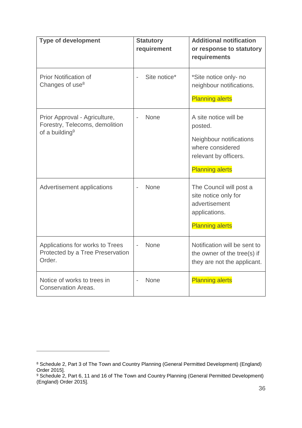| <b>Type of development</b>                                                                    | <b>Statutory</b><br>requirement | <b>Additional notification</b><br>or response to statutory<br>requirements                                                         |
|-----------------------------------------------------------------------------------------------|---------------------------------|------------------------------------------------------------------------------------------------------------------------------------|
| <b>Prior Notification of</b><br>Changes of use <sup>8</sup>                                   | Site notice*                    | *Site notice only- no<br>neighbour notifications.<br><b>Planning alerts</b>                                                        |
| Prior Approval - Agriculture,<br>Forestry, Telecoms, demolition<br>of a building <sup>9</sup> | <b>None</b>                     | A site notice will be<br>posted.<br>Neighbour notifications<br>where considered<br>relevant by officers.<br><b>Planning alerts</b> |
| Advertisement applications                                                                    | <b>None</b>                     | The Council will post a<br>site notice only for<br>advertisement<br>applications.<br><b>Planning alerts</b>                        |
| Applications for works to Trees<br>Protected by a Tree Preservation<br>Order.                 | <b>None</b>                     | Notification will be sent to<br>the owner of the tree(s) if<br>they are not the applicant.                                         |
| Notice of works to trees in<br><b>Conservation Areas.</b>                                     | <b>None</b>                     | <b>Planning alerts</b>                                                                                                             |

 $\overline{a}$ 

<sup>8</sup> Schedule 2, Part 3 of The Town and Country Planning (General Permitted Development) (England) Order 2015].

<sup>&</sup>lt;sup>9</sup> Schedule 2, Part 6, 11 and 16 of The Town and Country Planning (General Permitted Development) (England) Order 2015].